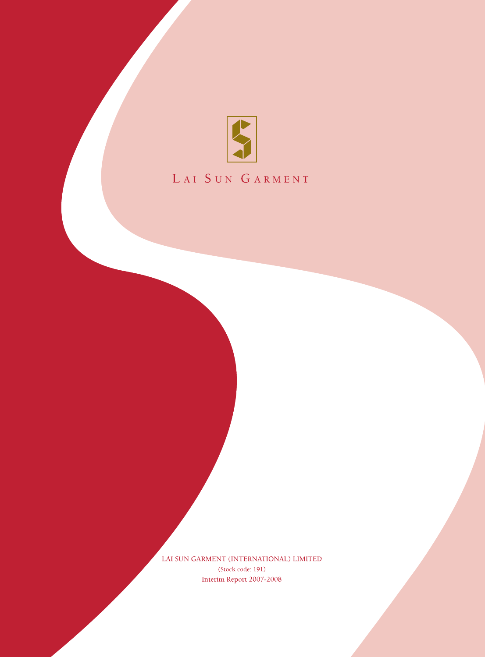

# LAI SUN GARMENT

LAI SUN GARMENT (INTERNATIONAL) LIMITED (Stock code: 191) Interim Report 2007-2008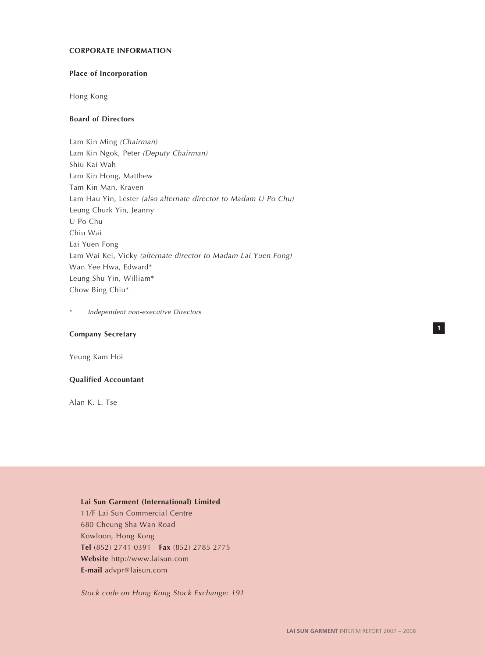### **CORPORATE INFORMATION**

# **Place of Incorporation**

Hong Kong

# **Board of Directors**

Lam Kin Ming (Chairman) Lam Kin Ngok, Peter (Deputy Chairman) Shiu Kai Wah Lam Kin Hong, Matthew Tam Kin Man, Kraven Lam Hau Yin, Lester (also alternate director to Madam U Po Chu) Leung Churk Yin, Jeanny U Po Chu Chiu Wai Lai Yuen Fong Lam Wai Kei, Vicky (alternate director to Madam Lai Yuen Fong) Wan Yee Hwa, Edward\* Leung Shu Yin, William\* Chow Bing Chiu\*

Independent non-executive Directors

# **Company Secretary**

Yeung Kam Hoi

#### **Qualified Accountant**

Alan K. L. Tse

#### **Lai Sun Garment (International) Limited**

11/F Lai Sun Commercial Centre 680 Cheung Sha Wan Road Kowloon, Hong Kong **Tel** (852) 2741 0391 **Fax** (852) 2785 2775 **Website** http://www.laisun.com **E-mail** advpr@laisun.com

Stock code on Hong Kong Stock Exchange: 191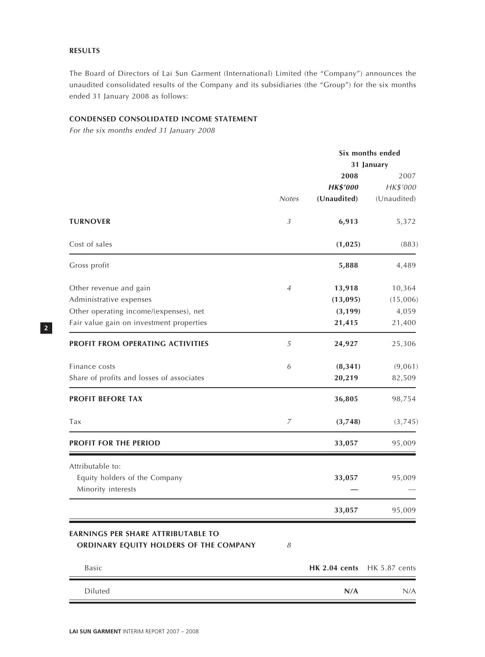# **RESULTS**

The Board of Directors of Lai Sun Garment (International) Limited (the "Company") announces the unaudited consolidated results of the Company and its subsidiaries (the "Group") for the six months ended 31 January 2008 as follows:

# **CONDENSED CONSOLIDATED INCOME STATEMENT**

For the six months ended 31 January 2008

|                                                                                     |                |                      | Six months ended     |
|-------------------------------------------------------------------------------------|----------------|----------------------|----------------------|
|                                                                                     |                |                      | 31 January           |
|                                                                                     |                | 2008                 | 2007                 |
|                                                                                     |                | <b>HK\$'000</b>      | HK\$'000             |
|                                                                                     | <b>Notes</b>   | (Unaudited)          | (Unaudited)          |
| <b>TURNOVER</b>                                                                     | $\mathfrak{Z}$ | 6,913                | 5,372                |
| Cost of sales                                                                       |                | (1,025)              | (883)                |
| Gross profit                                                                        |                | 5,888                | 4,489                |
| Other revenue and gain                                                              | 4              | 13,918               | 10,364               |
| Administrative expenses                                                             |                | (13,095)             | (15,006)             |
| Other operating income/(expenses), net                                              |                | (3, 199)             | 4,059                |
| Fair value gain on investment properties                                            |                | 21,415               | 21,400               |
| PROFIT FROM OPERATING ACTIVITIES                                                    | 5              | 24,927               | 25,306               |
| Finance costs                                                                       | 6              | (8, 341)             | (9,061)              |
| Share of profits and losses of associates                                           |                | 20,219               | 82,509               |
| <b>PROFIT BEFORE TAX</b>                                                            |                | 36,805               | 98,754               |
| Tax                                                                                 | 7              | (3,748)              | (3,745)              |
| PROFIT FOR THE PERIOD                                                               |                | 33,057               | 95,009               |
| Attributable to:                                                                    |                |                      |                      |
| Equity holders of the Company                                                       |                | 33,057               | 95,009               |
| Minority interests                                                                  |                |                      |                      |
|                                                                                     |                | 33,057               | 95,009               |
| <b>EARNINGS PER SHARE ATTRIBUTABLE TO</b><br>ORDINARY EQUITY HOLDERS OF THE COMPANY | 8              |                      |                      |
| Basic                                                                               |                | <b>HK 2.04 cents</b> | <b>HK 5.87 cents</b> |
| Diluted                                                                             |                | N/A                  | N/A                  |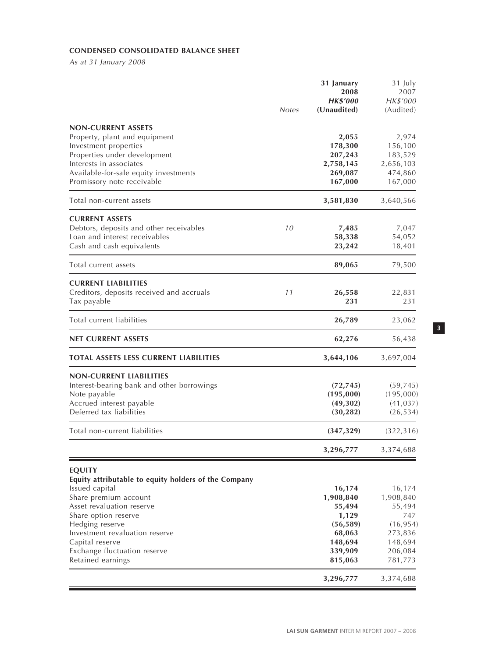# **CONDENSED CONSOLIDATED BALANCE SHEET**

As at 31 January 2008

|                                                                                        | <b>Notes</b> | 31 January<br>2008<br><b>HK\$'000</b><br>(Unaudited) | 31 July<br>2007<br>HK\$'000<br>(Audited) |
|----------------------------------------------------------------------------------------|--------------|------------------------------------------------------|------------------------------------------|
| <b>NON-CURRENT ASSETS</b><br>Property, plant and equipment                             |              | 2,055                                                | 2,974                                    |
| Investment properties                                                                  |              | 178,300                                              | 156,100                                  |
| Properties under development<br>Interests in associates                                |              | 207,243<br>2,758,145                                 | 183,529<br>2,656,103                     |
| Available-for-sale equity investments                                                  |              | 269,087                                              | 474,860                                  |
| Promissory note receivable                                                             |              | 167,000                                              | 167,000                                  |
| Total non-current assets                                                               |              | 3,581,830                                            | 3,640,566                                |
| <b>CURRENT ASSETS</b>                                                                  |              |                                                      |                                          |
| Debtors, deposits and other receivables                                                | 10           | 7,485                                                | 7,047                                    |
| Loan and interest receivables                                                          |              | 58,338                                               | 54,052                                   |
| Cash and cash equivalents                                                              |              | 23,242                                               | 18,401                                   |
| Total current assets                                                                   |              | 89,065                                               | 79,500                                   |
| <b>CURRENT LIABILITIES</b><br>Creditors, deposits received and accruals<br>Tax payable | 11           | 26,558<br>231                                        | 22,831<br>231                            |
| Total current liabilities                                                              |              | 26,789                                               | 23,062                                   |
| NET CURRENT ASSETS                                                                     |              | 62,276                                               | 56,438                                   |
| TOTAL ASSETS LESS CURRENT LIABILITIES                                                  |              | 3,644,106                                            | 3,697,004                                |
| <b>NON-CURRENT LIABILITIES</b>                                                         |              |                                                      |                                          |
| Interest-bearing bank and other borrowings                                             |              | (72, 745)                                            | (59, 745)                                |
| Note payable                                                                           |              | (195,000)                                            | (195,000)                                |
| Accrued interest payable<br>Deferred tax liabilities                                   |              | (49,302)<br>(30, 282)                                | (41, 037)<br>(26, 534)                   |
| Total non-current liabilities                                                          |              | (347, 329)                                           | (322, 316)                               |
|                                                                                        |              | 3,296,777                                            | 3,374,688                                |
| <b>EQUITY</b><br>Equity attributable to equity holders of the Company                  |              |                                                      |                                          |
| Issued capital<br>Share premium account                                                |              | 16,174                                               | 16,174<br>1,908,840                      |
| Asset revaluation reserve                                                              |              | 1,908,840<br>55,494                                  | 55,494                                   |
| Share option reserve                                                                   |              | 1,129                                                | 747                                      |
| Hedging reserve                                                                        |              | (56, 589)                                            | (16, 954)                                |
| Investment revaluation reserve                                                         |              | 68,063                                               | 273,836                                  |
| Capital reserve                                                                        |              | 148,694                                              | 148,694                                  |
| Exchange fluctuation reserve<br>Retained earnings                                      |              | 339,909                                              | 206,084                                  |
|                                                                                        |              | 815,063                                              | 781,773                                  |
|                                                                                        |              | 3,296,777                                            | 3,374,688                                |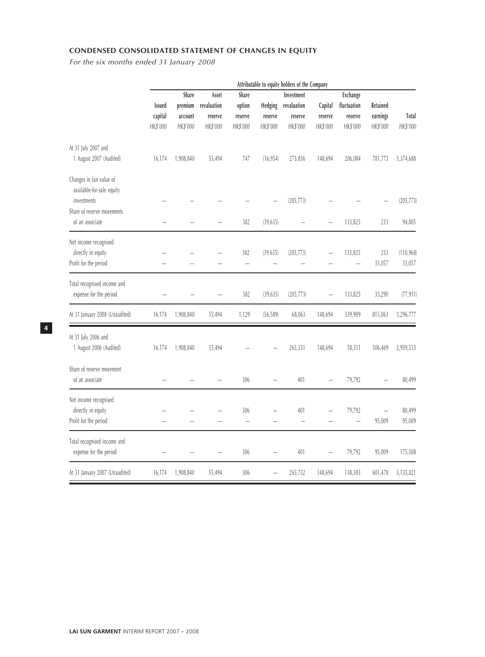# **CONDENSED CONSOLIDATED STATEMENT OF CHANGES IN EQUITY**

For the six months ended 31 January 2008

|                                          |               | Attributable to equity holders of the Company |             |                          |                          |             |                          |                          |                          |            |
|------------------------------------------|---------------|-----------------------------------------------|-------------|--------------------------|--------------------------|-------------|--------------------------|--------------------------|--------------------------|------------|
|                                          |               | Share<br>Asset<br>Share                       |             | Investment               |                          | Exchange    |                          |                          |                          |            |
|                                          | <b>Issued</b> | premium                                       | revaluation | option                   | Hedging                  | revaluation | Capital                  | fluctuation              | Retained                 |            |
|                                          | capital       | account                                       | reserve     | reserve                  | reserve                  | reserve     | reserve                  | reserve                  | earnings                 | Total      |
|                                          | HK\$'000      | HK\$'000                                      | HK\$'000    | HK\$'000                 | HK\$'000                 | HK\$'000    | HK\$'000                 | HK\$'000                 | HK\$'000                 | HK\$'000   |
| At 31 July 2007 and                      |               |                                               |             |                          |                          |             |                          |                          |                          |            |
| 1 August 2007 (Audited)                  | 16,174        | 1,908,840                                     | 55,494      | 747                      | (16, 954)                | 273,836     | 148,694                  | 206,084                  | 781,773                  | 3,374,688  |
| Changes in fair value of                 |               |                                               |             |                          |                          |             |                          |                          |                          |            |
| available-for-sale equity<br>investments |               |                                               |             |                          |                          | (205, 773)  |                          |                          |                          | (205, 773) |
| Share of reserve movements               |               |                                               |             |                          |                          |             |                          |                          |                          |            |
| of an associate                          |               |                                               |             | 382                      | (39, 635)                |             | -                        | 133,825                  | 233                      | 94,805     |
| Net income recognised                    |               |                                               |             |                          |                          |             |                          |                          |                          |            |
| directly in equity                       |               |                                               |             | 382                      | (39, 635)                | (205, 773)  |                          | 133,825                  | 233                      | (110, 968) |
| Profit for the period                    |               |                                               |             | $\overline{\phantom{0}}$ | $\overline{\phantom{0}}$ |             |                          | $\overline{\phantom{0}}$ | 33,057                   | 33,057     |
| Total recognised income and              |               |                                               |             |                          |                          |             |                          |                          |                          |            |
| expense for the period                   |               |                                               |             | 382                      | (39, 635)                | (205, 773)  |                          | 133,825                  | 33,290                   | (77, 911)  |
| At 31 January 2008 (Unaudited)           | 16,174        | 1,908,840                                     | 55,494      | 1,129                    | (56, 589)                | 68,063      | 148,694                  | 339,909                  | 815,063                  | 3,296,777  |
| At 31 July 2006 and                      |               |                                               |             |                          |                          |             |                          |                          |                          |            |
| 1 August 2006 (Audited)                  | 16,174        | 1,908,840                                     | 55,494      |                          |                          | 265,331     | 148,694                  | 58,511                   | 506,469                  | 2,959,513  |
| Share of reserve movement                |               |                                               |             |                          |                          |             |                          |                          |                          |            |
| of an associate                          |               |                                               |             | 306                      |                          | 401         | $\overline{\phantom{0}}$ | 79,792                   |                          | 80,499     |
| Net income recognised                    |               |                                               |             |                          |                          |             |                          |                          |                          |            |
| directly in equity                       |               |                                               |             | 306                      |                          | 401         |                          | 79,792                   | $\overline{\phantom{0}}$ | 80,499     |
| Profit for the period                    |               |                                               |             | $\equiv$                 |                          |             |                          |                          | 95,009                   | 95,009     |
| Total recognised income and              |               |                                               |             |                          |                          |             |                          |                          |                          |            |
| expense for the period                   |               |                                               |             | 306                      |                          | 401         |                          | 79,792                   | 95,009                   | 175,508    |
| At 31 January 2007 (Unaudited)           | 16,174        | 1,908,840                                     | 55,494      | 306                      | $\overline{\phantom{0}}$ | 265,732     | 148,694                  | 138,303                  | 601,478                  | 3,135,021  |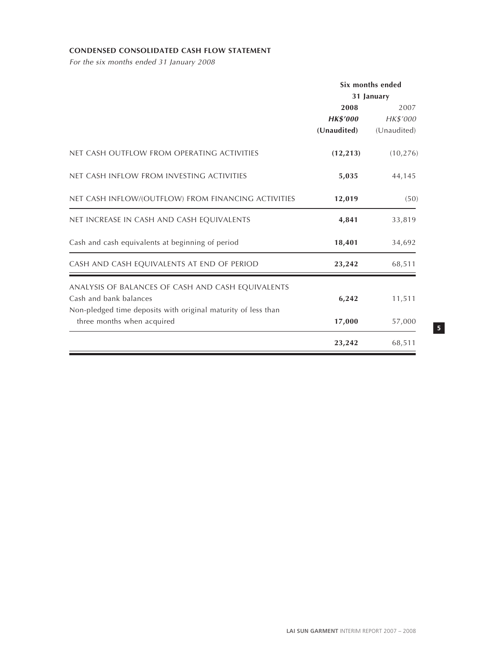# **CONDENSED CONSOLIDATED CASH FLOW STATEMENT**

For the six months ended 31 January 2008

|                                                                                                                                              | Six months ended<br>31 January         |                                 |  |
|----------------------------------------------------------------------------------------------------------------------------------------------|----------------------------------------|---------------------------------|--|
|                                                                                                                                              | 2008<br><b>HK\$'000</b><br>(Unaudited) | 2007<br>HK\$'000<br>(Unaudited) |  |
| NET CASH OUTFLOW FROM OPERATING ACTIVITIES                                                                                                   | (12, 213)                              | (10, 276)                       |  |
| NET CASH INFLOW FROM INVESTING ACTIVITIES                                                                                                    | 5,035                                  | 44,145                          |  |
| NET CASH INFLOW/(OUTFLOW) FROM FINANCING ACTIVITIES                                                                                          | 12,019                                 | (50)                            |  |
| NET INCREASE IN CASH AND CASH EQUIVALENTS                                                                                                    | 4,841                                  | 33,819                          |  |
| Cash and cash equivalents at beginning of period                                                                                             | 18,401                                 | 34,692                          |  |
| CASH AND CASH EQUIVALENTS AT END OF PERIOD                                                                                                   | 23,242                                 | 68,511                          |  |
| ANALYSIS OF BALANCES OF CASH AND CASH EQUIVALENTS<br>Cash and bank balances<br>Non-pledged time deposits with original maturity of less than | 6,242                                  | 11,511                          |  |
| three months when acquired                                                                                                                   | 17,000                                 | 57,000                          |  |
|                                                                                                                                              | 23,242                                 | 68,511                          |  |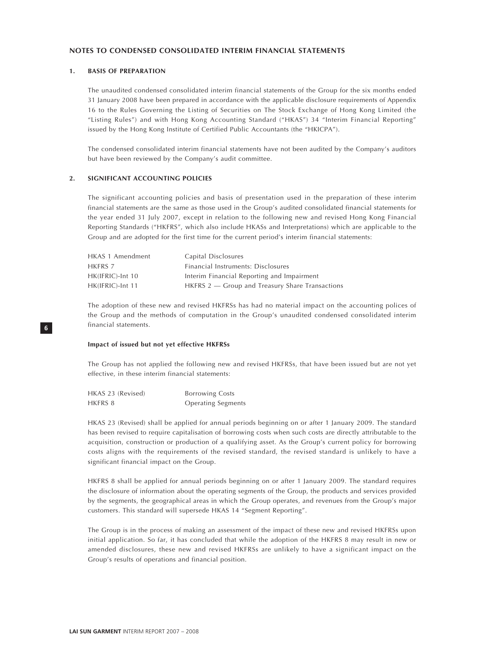#### **1. BASIS OF PREPARATION**

The unaudited condensed consolidated interim financial statements of the Group for the six months ended 31 January 2008 have been prepared in accordance with the applicable disclosure requirements of Appendix 16 to the Rules Governing the Listing of Securities on The Stock Exchange of Hong Kong Limited (the "Listing Rules") and with Hong Kong Accounting Standard ("HKAS") 34 "Interim Financial Reporting" issued by the Hong Kong Institute of Certified Public Accountants (the "HKICPA").

The condensed consolidated interim financial statements have not been audited by the Company's auditors but have been reviewed by the Company's audit committee.

#### **2. SIGNIFICANT ACCOUNTING POLICIES**

The significant accounting policies and basis of presentation used in the preparation of these interim financial statements are the same as those used in the Group's audited consolidated financial statements for the year ended 31 July 2007, except in relation to the following new and revised Hong Kong Financial Reporting Standards ("HKFRS", which also include HKASs and Interpretations) which are applicable to the Group and are adopted for the first time for the current period's interim financial statements:

| HKAS 1 Amendment | Capital Disclosures                                 |
|------------------|-----------------------------------------------------|
| HKFRS 7          | Financial Instruments: Disclosures                  |
| HK(IFRIC)-Int 10 | Interim Financial Reporting and Impairment          |
| HK(IFRIC)-Int 11 | $HKFRS$ 2 $-$ Group and Treasury Share Transactions |

The adoption of these new and revised HKFRSs has had no material impact on the accounting polices of the Group and the methods of computation in the Group's unaudited condensed consolidated interim financial statements.

#### **Impact of issued but not yet effective HKFRSs**

The Group has not applied the following new and revised HKFRSs, that have been issued but are not yet effective, in these interim financial statements:

| HKAS 23 (Revised) | <b>Borrowing Costs</b>    |
|-------------------|---------------------------|
| HKFRS 8           | <b>Operating Segments</b> |

HKAS 23 (Revised) shall be applied for annual periods beginning on or after 1 January 2009. The standard has been revised to require capitalisation of borrowing costs when such costs are directly attributable to the acquisition, construction or production of a qualifying asset. As the Group's current policy for borrowing costs aligns with the requirements of the revised standard, the revised standard is unlikely to have a significant financial impact on the Group.

HKFRS 8 shall be applied for annual periods beginning on or after 1 January 2009. The standard requires the disclosure of information about the operating segments of the Group, the products and services provided by the segments, the geographical areas in which the Group operates, and revenues from the Group's major customers. This standard will supersede HKAS 14 "Segment Reporting".

The Group is in the process of making an assessment of the impact of these new and revised HKFRSs upon initial application. So far, it has concluded that while the adoption of the HKFRS 8 may result in new or amended disclosures, these new and revised HKFRSs are unlikely to have a significant impact on the Group's results of operations and financial position.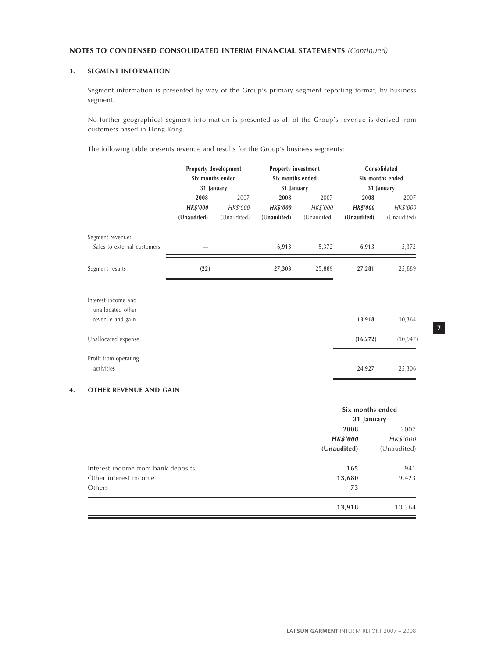# **3. SEGMENT INFORMATION**

Segment information is presented by way of the Group's primary segment reporting format, by business segment.

No further geographical segment information is presented as all of the Group's revenue is derived from customers based in Hong Kong.

The following table presents revenue and results for the Group's business segments:

|                             | Property development |             | Property investment |             | Consolidated     |             |  |
|-----------------------------|----------------------|-------------|---------------------|-------------|------------------|-------------|--|
|                             | Six months ended     |             | Six months ended    |             | Six months ended |             |  |
|                             | 31 January           |             | 31 January          |             | 31 January       |             |  |
|                             | 2008                 | 2007        | 2008                | 2007        | 2008             | 2007        |  |
|                             | <b>HK\$'000</b>      | HK\$'000    | <b>HK\$'000</b>     | HK\$'000    | <b>HK\$'000</b>  | HK\$'000    |  |
|                             | (Unaudited)          | (Unaudited) | (Unaudited)         | (Unaudited) | (Unaudited)      | (Unaudited) |  |
| Segment revenue:            |                      |             |                     |             |                  |             |  |
| Sales to external customers |                      |             | 6,913               | 5,372       | 6,913            | 5,372       |  |
| Segment results             | (22)                 |             | 27,303              | 25,889      | 27,281           | 25,889      |  |
| Interest income and         |                      |             |                     |             |                  |             |  |
| unallocated other           |                      |             |                     |             |                  |             |  |
| revenue and gain            |                      |             |                     |             | 13,918           | 10,364      |  |
| Unallocated expense         |                      |             |                     |             | (16, 272)        | (10, 947)   |  |
| Profit from operating       |                      |             |                     |             |                  |             |  |
| activities                  |                      |             |                     |             | 24,927           | 25,306      |  |

#### **4. OTHER REVENUE AND GAIN**

|                                    | Six months ended<br>31 January |                  |  |
|------------------------------------|--------------------------------|------------------|--|
|                                    | 2008<br><b>HK\$'000</b>        | 2007<br>HK\$'000 |  |
|                                    | (Unaudited)                    | (Unaudited)      |  |
| Interest income from bank deposits | 165                            | 941              |  |
| Other interest income              | 13,680                         | 9,423            |  |
| Others                             | 73                             |                  |  |
|                                    | 13,918                         | 10,364           |  |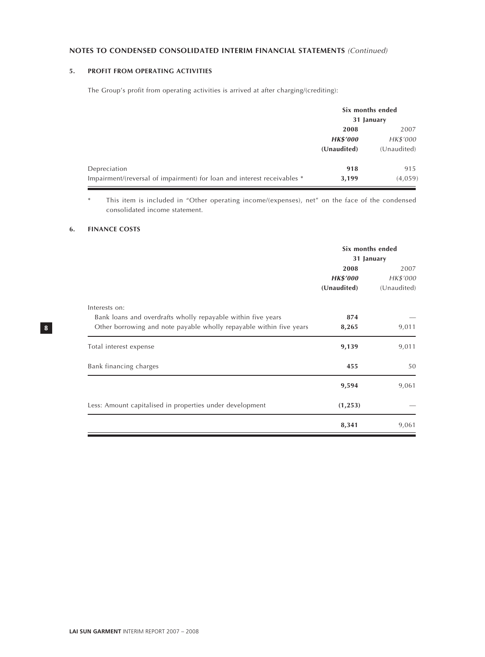# **5. PROFIT FROM OPERATING ACTIVITIES**

The Group's profit from operating activities is arrived at after charging/(crediting):

|                                                                         | Six months ended<br>31 January |             |  |
|-------------------------------------------------------------------------|--------------------------------|-------------|--|
|                                                                         | 2008                           | 2007        |  |
|                                                                         | <b>HK\$'000</b>                | HK\$'000    |  |
|                                                                         | (Unaudited)                    | (Unaudited) |  |
| Depreciation                                                            | 918                            | 915         |  |
| Impairment/(reversal of impairment) for loan and interest receivables * | 3,199                          | (4,059)     |  |

\* This item is included in "Other operating income/(expenses), net" on the face of the condensed consolidated income statement.

# **6. FINANCE COSTS**

|                                                                     | Six months ended<br>31 January |             |  |
|---------------------------------------------------------------------|--------------------------------|-------------|--|
|                                                                     | 2008                           | 2007        |  |
|                                                                     | <b>HK\$'000</b>                | HK\$'000    |  |
|                                                                     | (Unaudited)                    | (Unaudited) |  |
| Interests on:                                                       |                                |             |  |
| Bank loans and overdrafts wholly repayable within five years        | 874                            |             |  |
| Other borrowing and note payable wholly repayable within five years | 8,265                          | 9,011       |  |
| Total interest expense                                              | 9,139                          | 9,011       |  |
| Bank financing charges                                              | 455                            | 50          |  |
|                                                                     | 9,594                          | 9,061       |  |
| Less: Amount capitalised in properties under development            | (1, 253)                       |             |  |
|                                                                     | 8,341                          | 9,061       |  |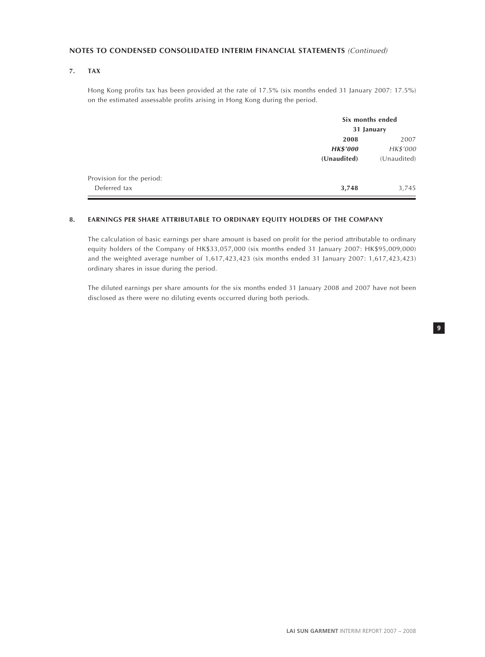# **7. TAX**

Hong Kong profits tax has been provided at the rate of 17.5% (six months ended 31 January 2007: 17.5%) on the estimated assessable profits arising in Hong Kong during the period.

|                           |                 | Six months ended<br>31 January |  |  |
|---------------------------|-----------------|--------------------------------|--|--|
|                           | 2008            | 2007                           |  |  |
|                           | <b>HK\$'000</b> | HK\$'000                       |  |  |
|                           | (Unaudited)     | (Unaudited)                    |  |  |
| Provision for the period: |                 |                                |  |  |
| Deferred tax              | 3,748           | 3,745                          |  |  |

#### **8. EARNINGS PER SHARE ATTRIBUTABLE TO ORDINARY EQUITY HOLDERS OF THE COMPANY**

The calculation of basic earnings per share amount is based on profit for the period attributable to ordinary equity holders of the Company of HK\$33,057,000 (six months ended 31 January 2007: HK\$95,009,000) and the weighted average number of 1,617,423,423 (six months ended 31 January 2007: 1,617,423,423) ordinary shares in issue during the period.

The diluted earnings per share amounts for the six months ended 31 January 2008 and 2007 have not been disclosed as there were no diluting events occurred during both periods.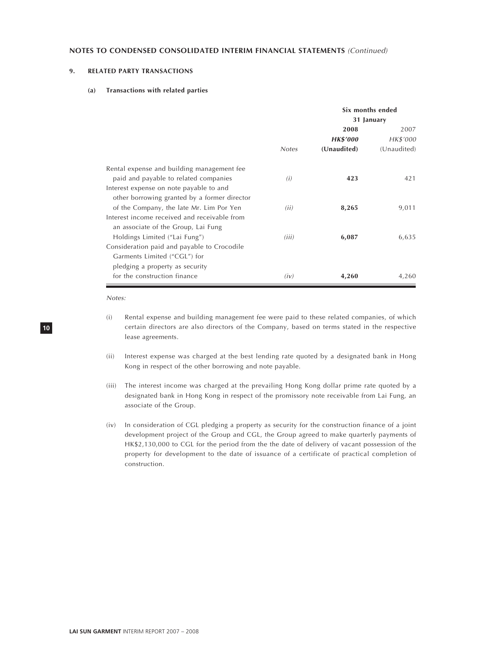# **9. RELATED PARTY TRANSACTIONS**

#### **(a) Transactions with related parties**

|                                              |              | Six months ended |             |  |
|----------------------------------------------|--------------|------------------|-------------|--|
|                                              |              | 31 January       |             |  |
|                                              |              | 2008             | 2007        |  |
|                                              |              | <b>HK\$'000</b>  | HK\$'000    |  |
|                                              | <b>Notes</b> | (Unaudited)      | (Unaudited) |  |
| Rental expense and building management fee   |              |                  |             |  |
| paid and payable to related companies        | (i)          | 423              | 421         |  |
| Interest expense on note payable to and      |              |                  |             |  |
| other borrowing granted by a former director |              |                  |             |  |
| of the Company, the late Mr. Lim Por Yen     | (ii)         | 8,265            | 9,011       |  |
| Interest income received and receivable from |              |                  |             |  |
| an associate of the Group, Lai Fung          |              |                  |             |  |
| Holdings Limited ("Lai Fung")                | (iii)        | 6,087            | 6,635       |  |
| Consideration paid and payable to Crocodile  |              |                  |             |  |
| Garments Limited ("CGL") for                 |              |                  |             |  |
| pledging a property as security              |              |                  |             |  |
| for the construction finance                 | (iv)         | 4,260            | 4,260       |  |

Notes:

- (i) Rental expense and building management fee were paid to these related companies, of which certain directors are also directors of the Company, based on terms stated in the respective lease agreements.
- (ii) Interest expense was charged at the best lending rate quoted by a designated bank in Hong Kong in respect of the other borrowing and note payable.
- (iii) The interest income was charged at the prevailing Hong Kong dollar prime rate quoted by a designated bank in Hong Kong in respect of the promissory note receivable from Lai Fung, an associate of the Group.
- (iv) In consideration of CGL pledging a property as security for the construction finance of a joint development project of the Group and CGL, the Group agreed to make quarterly payments of HK\$2,130,000 to CGL for the period from the the date of delivery of vacant possession of the property for development to the date of issuance of a certificate of practical completion of construction.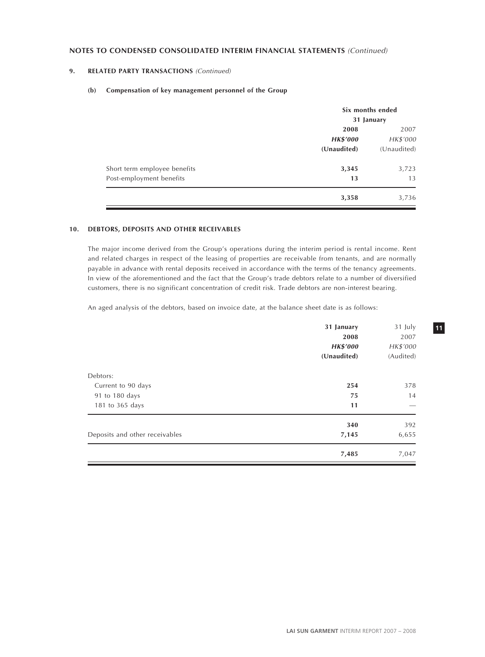# **9. RELATED PARTY TRANSACTIONS** (Continued)

#### **(b) Compensation of key management personnel of the Group**

|                              | Six months ended |             |
|------------------------------|------------------|-------------|
|                              | 31 January       |             |
|                              | 2008             | 2007        |
|                              | <b>HK\$'000</b>  | HK\$'000    |
|                              | (Unaudited)      | (Unaudited) |
| Short term employee benefits | 3,345            | 3,723       |
| Post-employment benefits     | 13               | 13          |
|                              | 3,358            | 3,736       |

# **10. DEBTORS, DEPOSITS AND OTHER RECEIVABLES**

The major income derived from the Group's operations during the interim period is rental income. Rent and related charges in respect of the leasing of properties are receivable from tenants, and are normally payable in advance with rental deposits received in accordance with the terms of the tenancy agreements. In view of the aforementioned and the fact that the Group's trade debtors relate to a number of diversified customers, there is no significant concentration of credit risk. Trade debtors are non-interest bearing.

An aged analysis of the debtors, based on invoice date, at the balance sheet date is as follows:

| 31 January<br>2008<br><b>HK\$'000</b><br>(Unaudited) | 31 July<br>2007<br>HK\$'000<br>(Audited) |
|------------------------------------------------------|------------------------------------------|
|                                                      |                                          |
| 254                                                  | 378                                      |
| 75                                                   | 14                                       |
| 11                                                   |                                          |
| 340                                                  | 392                                      |
| 7,145                                                | 6,655                                    |
| 7,485                                                | 7,047                                    |
|                                                      |                                          |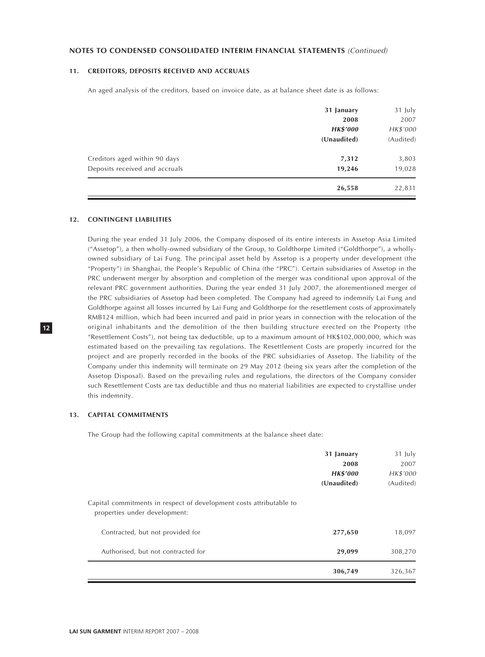#### **11. CREDITORS, DEPOSITS RECEIVED AND ACCRUALS**

An aged analysis of the creditors, based on invoice date, as at balance sheet date is as follows:

|                                | 31 January      | 31 July   |
|--------------------------------|-----------------|-----------|
|                                | 2008            | 2007      |
|                                | <b>HK\$'000</b> | HK\$'000  |
|                                | (Unaudited)     | (Audited) |
| Creditors aged within 90 days  | 7,312           | 3,803     |
| Deposits received and accruals | 19,246          | 19,028    |
|                                | 26,558          | 22,831    |

#### **12. CONTINGENT LIABILITIES**

During the year ended 31 July 2006, the Company disposed of its entire interests in Assetop Asia Limited ("Assetop"), a then wholly-owned subsidiary of the Group, to Goldthorpe Limited ("Goldthorpe"), a whollyowned subsidiary of Lai Fung. The principal asset held by Assetop is a property under development (the "Property") in Shanghai, the People's Republic of China (the "PRC"). Certain subsidiaries of Assetop in the PRC underwent merger by absorption and completion of the merger was conditional upon approval of the relevant PRC government authorities. During the year ended 31 July 2007, the aforementioned merger of the PRC subsidiaries of Assetop had been completed. The Company had agreed to indemnify Lai Fung and Goldthorpe against all losses incurred by Lai Fung and Goldthorpe for the resettlement costs of approximately RMB124 million, which had been incurred and paid in prior years in connection with the relocation of the original inhabitants and the demolition of the then building structure erected on the Property (the "Resettlement Costs"), not being tax deductible, up to a maximum amount of HK\$102,000,000, which was estimated based on the prevailing tax regulations. The Resettlement Costs are properly incurred for the project and are properly recorded in the books of the PRC subsidiaries of Assetop. The liability of the Company under this indemnity will terminate on 29 May 2012 (being six years after the completion of the Assetop Disposal). Based on the prevailing rules and regulations, the directors of the Company consider such Resettlement Costs are tax deductible and thus no material liabilities are expected to crystallise under this indemnity.

# **13. CAPITAL COMMITMENTS**

The Group had the following capital commitments at the balance sheet date:

|                                                                                                      | 306,749                                              | 326,367                                  |
|------------------------------------------------------------------------------------------------------|------------------------------------------------------|------------------------------------------|
| Authorised, but not contracted for                                                                   | 29,099                                               | 308,270                                  |
| Contracted, but not provided for                                                                     | 277,650                                              | 18,097                                   |
| Capital commitments in respect of development costs attributable to<br>properties under development: |                                                      |                                          |
|                                                                                                      | 31 January<br>2008<br><b>HK\$'000</b><br>(Unaudited) | 31 July<br>2007<br>HK\$'000<br>(Audited) |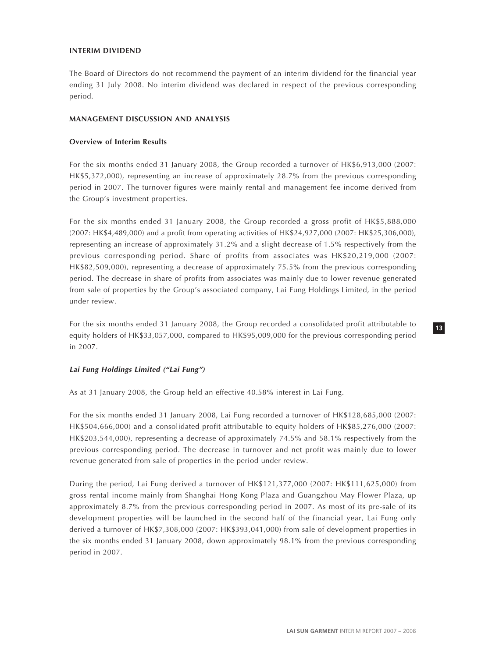### **INTERIM DIVIDEND**

The Board of Directors do not recommend the payment of an interim dividend for the financial year ending 31 July 2008. No interim dividend was declared in respect of the previous corresponding period.

#### **MANAGEMENT DISCUSSION AND ANALYSIS**

# **Overview of Interim Results**

For the six months ended 31 January 2008, the Group recorded a turnover of HK\$6,913,000 (2007: HK\$5,372,000), representing an increase of approximately 28.7% from the previous corresponding period in 2007. The turnover figures were mainly rental and management fee income derived from the Group's investment properties.

For the six months ended 31 January 2008, the Group recorded a gross profit of HK\$5,888,000 (2007: HK\$4,489,000) and a profit from operating activities of HK\$24,927,000 (2007: HK\$25,306,000), representing an increase of approximately 31.2% and a slight decrease of 1.5% respectively from the previous corresponding period. Share of profits from associates was HK\$20,219,000 (2007: HK\$82,509,000), representing a decrease of approximately 75.5% from the previous corresponding period. The decrease in share of profits from associates was mainly due to lower revenue generated from sale of properties by the Group's associated company, Lai Fung Holdings Limited, in the period under review.

For the six months ended 31 January 2008, the Group recorded a consolidated profit attributable to equity holders of HK\$33,057,000, compared to HK\$95,009,000 for the previous corresponding period in 2007.

# **Lai Fung Holdings Limited ("Lai Fung")**

As at 31 January 2008, the Group held an effective 40.58% interest in Lai Fung.

For the six months ended 31 January 2008, Lai Fung recorded a turnover of HK\$128,685,000 (2007: HK\$504,666,000) and a consolidated profit attributable to equity holders of HK\$85,276,000 (2007: HK\$203,544,000), representing a decrease of approximately 74.5% and 58.1% respectively from the previous corresponding period. The decrease in turnover and net profit was mainly due to lower revenue generated from sale of properties in the period under review.

During the period, Lai Fung derived a turnover of HK\$121,377,000 (2007: HK\$111,625,000) from gross rental income mainly from Shanghai Hong Kong Plaza and Guangzhou May Flower Plaza, up approximately 8.7% from the previous corresponding period in 2007. As most of its pre-sale of its development properties will be launched in the second half of the financial year, Lai Fung only derived a turnover of HK\$7,308,000 (2007: HK\$393,041,000) from sale of development properties in the six months ended 31 January 2008, down approximately 98.1% from the previous corresponding period in 2007.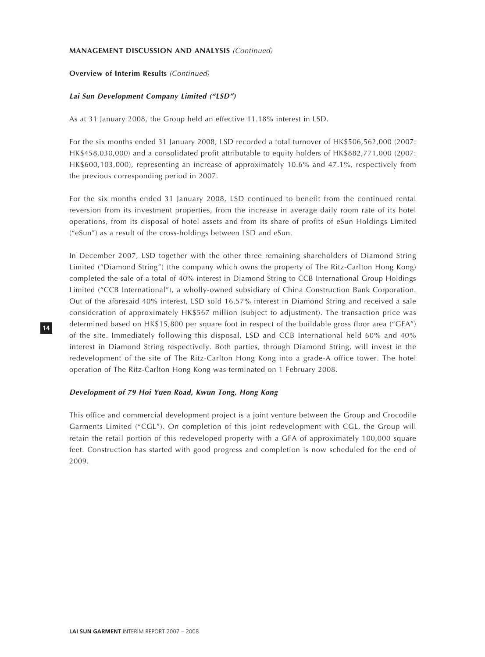### **MANAGEMENT DISCUSSION AND ANALYSIS** (Continued)

# **Overview of Interim Results** (Continued)

#### **Lai Sun Development Company Limited ("LSD")**

As at 31 January 2008, the Group held an effective 11.18% interest in LSD.

For the six months ended 31 January 2008, LSD recorded a total turnover of HK\$506,562,000 (2007: HK\$458,030,000) and a consolidated profit attributable to equity holders of HK\$882,771,000 (2007: HK\$600,103,000), representing an increase of approximately 10.6% and 47.1%, respectively from the previous corresponding period in 2007.

For the six months ended 31 January 2008, LSD continued to benefit from the continued rental reversion from its investment properties, from the increase in average daily room rate of its hotel operations, from its disposal of hotel assets and from its share of profits of eSun Holdings Limited ("eSun") as a result of the cross-holdings between LSD and eSun.

In December 2007, LSD together with the other three remaining shareholders of Diamond String Limited ("Diamond String") (the company which owns the property of The Ritz-Carlton Hong Kong) completed the sale of a total of 40% interest in Diamond String to CCB International Group Holdings Limited ("CCB International"), a wholly-owned subsidiary of China Construction Bank Corporation. Out of the aforesaid 40% interest, LSD sold 16.57% interest in Diamond String and received a sale consideration of approximately HK\$567 million (subject to adjustment). The transaction price was determined based on HK\$15,800 per square foot in respect of the buildable gross floor area ("GFA") of the site. Immediately following this disposal, LSD and CCB International held 60% and 40% interest in Diamond String respectively. Both parties, through Diamond String, will invest in the redevelopment of the site of The Ritz-Carlton Hong Kong into a grade-A office tower. The hotel operation of The Ritz-Carlton Hong Kong was terminated on 1 February 2008.

#### **Development of 79 Hoi Yuen Road, Kwun Tong, Hong Kong**

This office and commercial development project is a joint venture between the Group and Crocodile Garments Limited ("CGL"). On completion of this joint redevelopment with CGL, the Group will retain the retail portion of this redeveloped property with a GFA of approximately 100,000 square feet. Construction has started with good progress and completion is now scheduled for the end of 2009.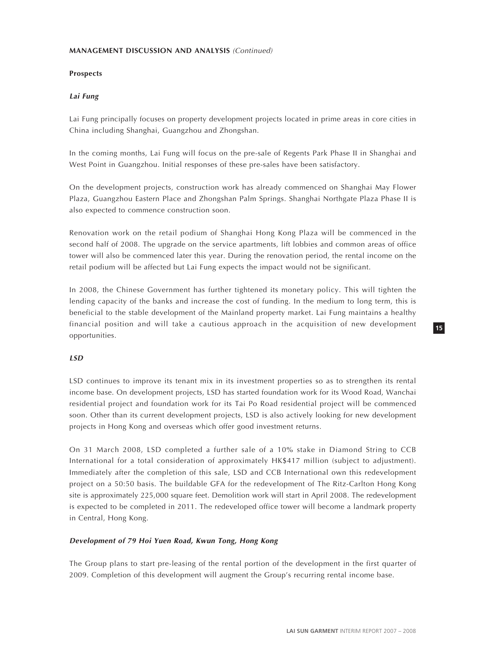# **MANAGEMENT DISCUSSION AND ANALYSIS** (Continued)

# **Prospects**

# **Lai Fung**

Lai Fung principally focuses on property development projects located in prime areas in core cities in China including Shanghai, Guangzhou and Zhongshan.

In the coming months, Lai Fung will focus on the pre-sale of Regents Park Phase II in Shanghai and West Point in Guangzhou. Initial responses of these pre-sales have been satisfactory.

On the development projects, construction work has already commenced on Shanghai May Flower Plaza, Guangzhou Eastern Place and Zhongshan Palm Springs. Shanghai Northgate Plaza Phase II is also expected to commence construction soon.

Renovation work on the retail podium of Shanghai Hong Kong Plaza will be commenced in the second half of 2008. The upgrade on the service apartments, lift lobbies and common areas of office tower will also be commenced later this year. During the renovation period, the rental income on the retail podium will be affected but Lai Fung expects the impact would not be significant.

In 2008, the Chinese Government has further tightened its monetary policy. This will tighten the lending capacity of the banks and increase the cost of funding. In the medium to long term, this is beneficial to the stable development of the Mainland property market. Lai Fung maintains a healthy financial position and will take a cautious approach in the acquisition of new development opportunities.

# **LSD**

LSD continues to improve its tenant mix in its investment properties so as to strengthen its rental income base. On development projects, LSD has started foundation work for its Wood Road, Wanchai residential project and foundation work for its Tai Po Road residential project will be commenced soon. Other than its current development projects, LSD is also actively looking for new development projects in Hong Kong and overseas which offer good investment returns.

On 31 March 2008, LSD completed a further sale of a 10% stake in Diamond String to CCB International for a total consideration of approximately HK\$417 million (subject to adjustment). Immediately after the completion of this sale, LSD and CCB International own this redevelopment project on a 50:50 basis. The buildable GFA for the redevelopment of The Ritz-Carlton Hong Kong site is approximately 225,000 square feet. Demolition work will start in April 2008. The redevelopment is expected to be completed in 2011. The redeveloped office tower will become a landmark property in Central, Hong Kong.

#### **Development of 79 Hoi Yuen Road, Kwun Tong, Hong Kong**

The Group plans to start pre-leasing of the rental portion of the development in the first quarter of 2009. Completion of this development will augment the Group's recurring rental income base.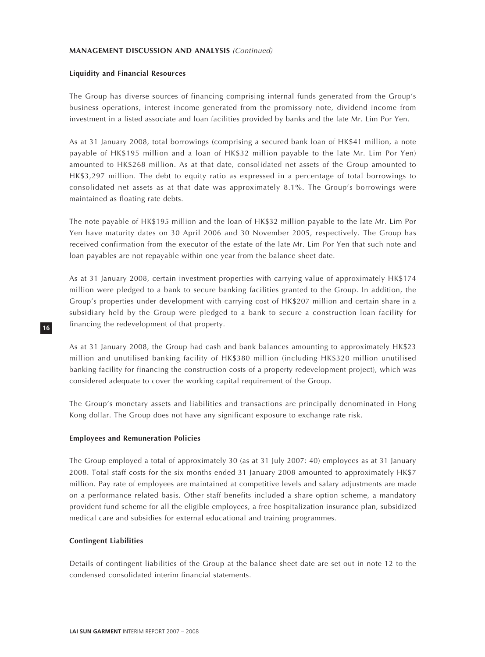#### **MANAGEMENT DISCUSSION AND ANALYSIS** (Continued)

#### **Liquidity and Financial Resources**

The Group has diverse sources of financing comprising internal funds generated from the Group's business operations, interest income generated from the promissory note, dividend income from investment in a listed associate and loan facilities provided by banks and the late Mr. Lim Por Yen.

As at 31 January 2008, total borrowings (comprising a secured bank loan of HK\$41 million, a note payable of HK\$195 million and a loan of HK\$32 million payable to the late Mr. Lim Por Yen) amounted to HK\$268 million. As at that date, consolidated net assets of the Group amounted to HK\$3,297 million. The debt to equity ratio as expressed in a percentage of total borrowings to consolidated net assets as at that date was approximately 8.1%. The Group's borrowings were maintained as floating rate debts.

The note payable of HK\$195 million and the loan of HK\$32 million payable to the late Mr. Lim Por Yen have maturity dates on 30 April 2006 and 30 November 2005, respectively. The Group has received confirmation from the executor of the estate of the late Mr. Lim Por Yen that such note and loan payables are not repayable within one year from the balance sheet date.

As at 31 January 2008, certain investment properties with carrying value of approximately HK\$174 million were pledged to a bank to secure banking facilities granted to the Group. In addition, the Group's properties under development with carrying cost of HK\$207 million and certain share in a subsidiary held by the Group were pledged to a bank to secure a construction loan facility for financing the redevelopment of that property.

As at 31 January 2008, the Group had cash and bank balances amounting to approximately HK\$23 million and unutilised banking facility of HK\$380 million (including HK\$320 million unutilised banking facility for financing the construction costs of a property redevelopment project), which was considered adequate to cover the working capital requirement of the Group.

The Group's monetary assets and liabilities and transactions are principally denominated in Hong Kong dollar. The Group does not have any significant exposure to exchange rate risk.

#### **Employees and Remuneration Policies**

The Group employed a total of approximately 30 (as at 31 July 2007: 40) employees as at 31 January 2008. Total staff costs for the six months ended 31 January 2008 amounted to approximately HK\$7 million. Pay rate of employees are maintained at competitive levels and salary adjustments are made on a performance related basis. Other staff benefits included a share option scheme, a mandatory provident fund scheme for all the eligible employees, a free hospitalization insurance plan, subsidized medical care and subsidies for external educational and training programmes.

#### **Contingent Liabilities**

Details of contingent liabilities of the Group at the balance sheet date are set out in note 12 to the condensed consolidated interim financial statements.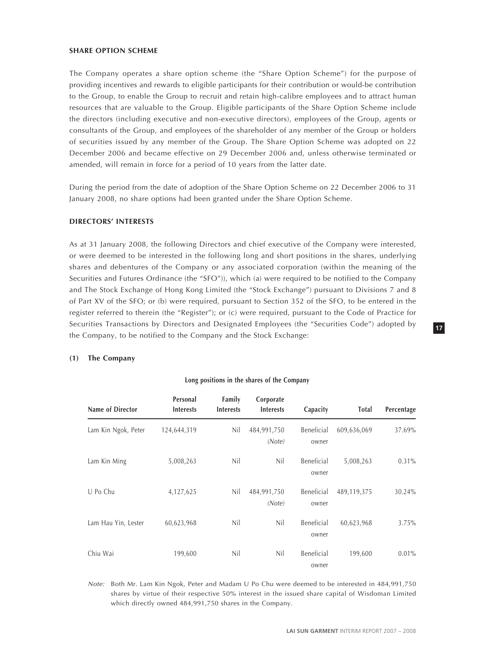#### **SHARE OPTION SCHEME**

The Company operates a share option scheme (the "Share Option Scheme") for the purpose of providing incentives and rewards to eligible participants for their contribution or would-be contribution to the Group, to enable the Group to recruit and retain high-calibre employees and to attract human resources that are valuable to the Group. Eligible participants of the Share Option Scheme include the directors (including executive and non-executive directors), employees of the Group, agents or consultants of the Group, and employees of the shareholder of any member of the Group or holders of securities issued by any member of the Group. The Share Option Scheme was adopted on 22 December 2006 and became effective on 29 December 2006 and, unless otherwise terminated or amended, will remain in force for a period of 10 years from the latter date.

During the period from the date of adoption of the Share Option Scheme on 22 December 2006 to 31 January 2008, no share options had been granted under the Share Option Scheme.

# **DIRECTORS' INTERESTS**

As at 31 January 2008, the following Directors and chief executive of the Company were interested, or were deemed to be interested in the following long and short positions in the shares, underlying shares and debentures of the Company or any associated corporation (within the meaning of the Securities and Futures Ordinance (the "SFO")), which (a) were required to be notified to the Company and The Stock Exchange of Hong Kong Limited (the "Stock Exchange") pursuant to Divisions 7 and 8 of Part XV of the SFO; or (b) were required, pursuant to Section 352 of the SFO, to be entered in the register referred to therein (the "Register"); or (c) were required, pursuant to the Code of Practice for Securities Transactions by Directors and Designated Employees (the "Securities Code") adopted by the Company, to be notified to the Company and the Stock Exchange:

# **(1) The Company**

| Name of Director    | Personal<br><b>Interests</b> | Family<br><b>Interests</b> | Corporate<br><b>Interests</b> | Capacity            | Total       | Percentage |
|---------------------|------------------------------|----------------------------|-------------------------------|---------------------|-------------|------------|
| Lam Kin Ngok, Peter | 124,644,319                  | Nil                        | 484,991,750<br>(Note)         | Beneficial<br>owner | 609,636,069 | 37.69%     |
| Lam Kin Ming        | 5,008,263                    | Nil                        | Nil                           | Beneficial<br>owner | 5,008,263   | $0.31\%$   |
| U Po Chu            | 4,127,625                    | Nil                        | 484,991,750<br>(Note)         | Beneficial<br>owner | 489,119,375 | 30.24%     |
| Lam Hau Yin, Lester | 60,623,968                   | Nil                        | Nil                           | Beneficial<br>owner | 60,623,968  | 3.75%      |
| Chiu Wai            | 199,600                      | Nil                        | Nil                           | Beneficial<br>owner | 199,600     | $0.01\%$   |

# **Long positions in the shares of the Company**

Note: Both Mr. Lam Kin Ngok, Peter and Madam U Po Chu were deemed to be interested in 484,991,750 shares by virtue of their respective 50% interest in the issued share capital of Wisdoman Limited which directly owned 484,991,750 shares in the Company.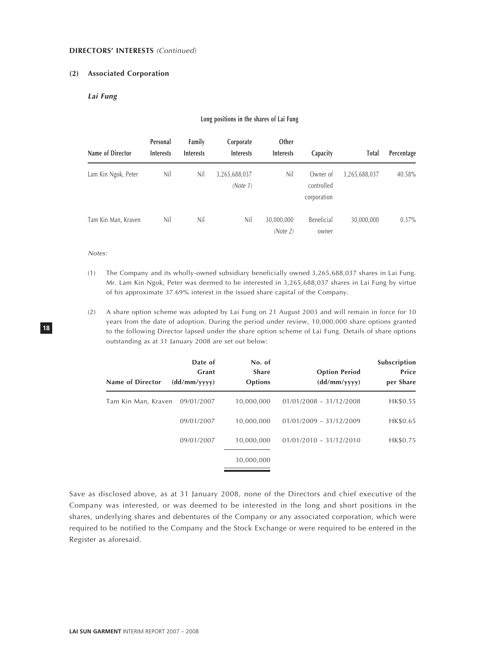#### **DIRECTORS' INTERESTS** (Continued)

# **(2) Associated Corporation**

# **Lai Fung**

#### **Long positions in the shares of Lai Fung**

| Name of Director    | Personal<br><b>Interests</b> | Family<br><b>Interests</b> | Corporate<br><b>Interests</b> | Other<br><b>Interests</b> | Capacity                              | <b>Total</b>  | Percentage |
|---------------------|------------------------------|----------------------------|-------------------------------|---------------------------|---------------------------------------|---------------|------------|
| Lam Kin Ngok, Peter | Nil                          | Nil                        | 3,265,688,037<br>(Note 1)     | Nil                       | Owner of<br>controlled<br>corporation | 3,265,688,037 | 40.58%     |
| Tam Kin Man, Kraven | Nil                          | Nil                        | Nil                           | 30,000,000<br>(Note 2)    | Beneficial<br>owner                   | 30,000,000    | $0.37\%$   |

#### Notes:

- (1) The Company and its wholly-owned subsidiary beneficially owned 3,265,688,037 shares in Lai Fung. Mr. Lam Kin Ngok, Peter was deemed to be interested in 3,265,688,037 shares in Lai Fung by virtue of his approximate 37.69% interest in the issued share capital of the Company.
- (2) A share option scheme was adopted by Lai Fung on 21 August 2003 and will remain in force for 10 years from the date of adoption. During the period under review, 10,000,000 share options granted to the following Director lapsed under the share option scheme of Lai Fung. Details of share options outstanding as at 31 January 2008 are set out below:

| Name of Director    | Date of<br>Grant<br>(dd/mm/yyyy) | No. of<br><b>Share</b><br>Options | <b>Option Period</b><br>(dd/mm/yyyy) | Subscription<br>Price<br>per Share |
|---------------------|----------------------------------|-----------------------------------|--------------------------------------|------------------------------------|
| Tam Kin Man, Kraven | 09/01/2007                       | 10,000,000                        | $01/01/2008 - 31/12/2008$            | HK\$0.55                           |
|                     | 09/01/2007                       | 10,000,000                        | $01/01/2009 - 31/12/2009$            | HK\$0.65                           |
|                     | 09/01/2007                       | 10,000,000                        | $01/01/2010 - 31/12/2010$            | HK\$0.75                           |
|                     |                                  | 30,000,000                        |                                      |                                    |

Save as disclosed above, as at 31 January 2008, none of the Directors and chief executive of the Company was interested, or was deemed to be interested in the long and short positions in the shares, underlying shares and debentures of the Company or any associated corporation, which were required to be notified to the Company and the Stock Exchange or were required to be entered in the Register as aforesaid.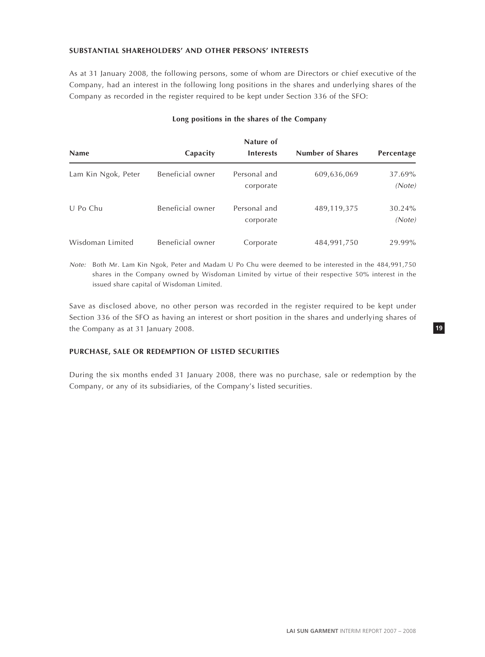# **SUBSTANTIAL SHAREHOLDERS' AND OTHER PERSONS' INTERESTS**

As at 31 January 2008, the following persons, some of whom are Directors or chief executive of the Company, had an interest in the following long positions in the shares and underlying shares of the Company as recorded in the register required to be kept under Section 336 of the SFO:

# **Long positions in the shares of the Company**

|                     |                  | Nature of                 |                         |                  |
|---------------------|------------------|---------------------------|-------------------------|------------------|
| <b>Name</b>         | Capacity         | <b>Interests</b>          | <b>Number of Shares</b> | Percentage       |
| Lam Kin Ngok, Peter | Beneficial owner | Personal and<br>corporate | 609,636,069             | 37.69%<br>(Note) |
| U Po Chu            | Beneficial owner | Personal and<br>corporate | 489,119,375             | 30.24%<br>(Note) |
| Wisdoman Limited    | Beneficial owner | Corporate                 | 484,991,750             | 29.99%           |

Note: Both Mr. Lam Kin Ngok, Peter and Madam U Po Chu were deemed to be interested in the 484,991,750 shares in the Company owned by Wisdoman Limited by virtue of their respective 50% interest in the issued share capital of Wisdoman Limited.

Save as disclosed above, no other person was recorded in the register required to be kept under Section 336 of the SFO as having an interest or short position in the shares and underlying shares of the Company as at 31 January 2008.

# **PURCHASE, SALE OR REDEMPTION OF LISTED SECURITIES**

During the six months ended 31 January 2008, there was no purchase, sale or redemption by the Company, or any of its subsidiaries, of the Company's listed securities.